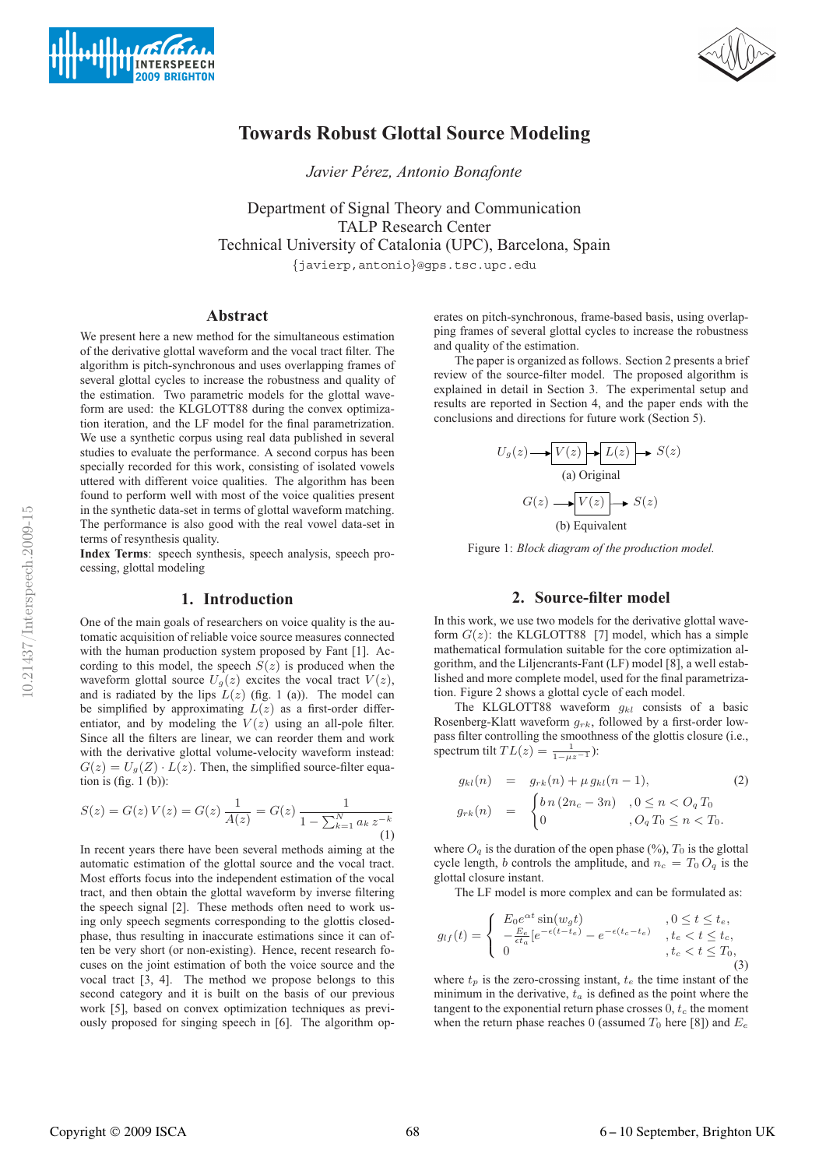



# **Towards Robust Glottal Source Modeling**

*Javier Perez, Antonio Bonafonte ´*

Department of Signal Theory and Communication TALP Research Center Technical University of Catalonia (UPC), Barcelona, Spain

{javierp,antonio}@gps.tsc.upc.edu

# **Abstract**

We present here a new method for the simultaneous estimation of the derivative glottal waveform and the vocal tract filter. The algorithm is pitch-synchronous and uses overlapping frames of several glottal cycles to increase the robustness and quality of the estimation. Two parametric models for the glottal waveform are used: the KLGLOTT88 during the convex optimization iteration, and the LF model for the final parametrization. We use a synthetic corpus using real data published in several studies to evaluate the performance. A second corpus has been specially recorded for this work, consisting of isolated vowels uttered with different voice qualities. The algorithm has been found to perform well with most of the voice qualities present in the synthetic data-set in terms of glottal waveform matching. The performance is also good with the real vowel data-set in terms of resynthesis quality.

**Index Terms**: speech synthesis, speech analysis, speech processing, glottal modeling

# **1. Introduction**

One of the main goals of researchers on voice quality is the automatic acquisition of reliable voice source measures connected with the human production system proposed by Fant [1]. According to this model, the speech  $S(z)$  is produced when the waveform glottal source  $U_q(z)$  excites the vocal tract  $V(z)$ , and is radiated by the lips  $L(z)$  (fig. 1 (a)). The model can be simplified by approximating  $L(z)$  as a first-order differentiator, and by modeling the  $V(z)$  using an all-pole filter. Since all the filters are linear, we can reorder them and work with the derivative glottal volume-velocity waveform instead:  $G(z) = U<sub>g</sub>(Z) \cdot L(z)$ . Then, the simplified source-filter equation is (fig. 1 (b)):

$$
S(z) = G(z) V(z) = G(z) \frac{1}{A(z)} = G(z) \frac{1}{1 - \sum_{k=1}^{N} a_k z^{-k}}
$$
(1)

In recent years there have been several methods aiming at the automatic estimation of the glottal source and the vocal tract. Most efforts focus into the independent estimation of the vocal tract, and then obtain the glottal waveform by inverse filtering the speech signal [2]. These methods often need to work using only speech segments corresponding to the glottis closedphase, thus resulting in inaccurate estimations since it can often be very short (or non-existing). Hence, recent research focuses on the joint estimation of both the voice source and the vocal tract [3, 4]. The method we propose belongs to this second category and it is built on the basis of our previous work [5], based on convex optimization techniques as previously proposed for singing speech in [6]. The algorithm operates on pitch-synchronous, frame-based basis, using overlapping frames of several glottal cycles to increase the robustness and quality of the estimation.

The paper is organized as follows. Section 2 presents a brief review of the source-filter model. The proposed algorithm is explained in detail in Section 3. The experimental setup and results are reported in Section 4, and the paper ends with the conclusions and directions for future work (Section 5).

$$
U_g(z) \longrightarrow V(z) \longrightarrow L(z) \longrightarrow S(z)
$$
\n(a) Original

\n
$$
G(z) \longrightarrow V(z) \longrightarrow S(z)
$$
\n(b) Equivalent

Figure 1: *Block diagram of the production model.*

# **2. Source-filter model**

In this work, we use two models for the derivative glottal waveform  $G(z)$ : the KLGLOTT88 [7] model, which has a simple mathematical formulation suitable for the core optimization algorithm, and the Liljencrants-Fant (LF) model [8], a well established and more complete model, used for the final parametrization. Figure 2 shows a glottal cycle of each model.

The KLGLOTT88 waveform  $q_{kl}$  consists of a basic Rosenberg-Klatt waveform  $g_{rk}$ , followed by a first-order lowpass filter controlling the smoothness of the glottis closure (i.e., spectrum tilt  $TL(z) = \frac{1}{1 - \mu z^{-1}}$ :

$$
g_{kl}(n) = g_{rk}(n) + \mu g_{kl}(n-1),
$$
\n
$$
g_{rk}(n) = \begin{cases} b \, n \, (2n_c - 3n) & , 0 \le n < O_q \, T_0 \\ 0 & , O_q \, T_0 \le n < T_0. \end{cases} \tag{2}
$$

where  $O_q$  is the duration of the open phase (%),  $T_0$  is the glottal cycle length, b controls the amplitude, and  $n_c = T_0 O_q$  is the glottal closure instant.

The LF model is more complex and can be formulated as:

$$
g_{lf}(t) = \begin{cases} E_0 e^{\alpha t} \sin(w_g t) & 0 \le t \le t_e, \\ -\frac{E_e}{\epsilon t_a} [e^{-\epsilon(t - t_e)} - e^{-\epsilon(t_c - t_e)} & t_e < t \le t_c, \\ 0 & t_c < t \le T_0, \end{cases} \tag{3}
$$

where  $t_p$  is the zero-crossing instant,  $t_e$  the time instant of the minimum in the derivative,  $t_a$  is defined as the point where the tangent to the exponential return phase crosses  $\overline{0}$ ,  $t_c$  the moment when the return phase reaches 0 (assumed  $T_0$  here [8]) and  $E_e$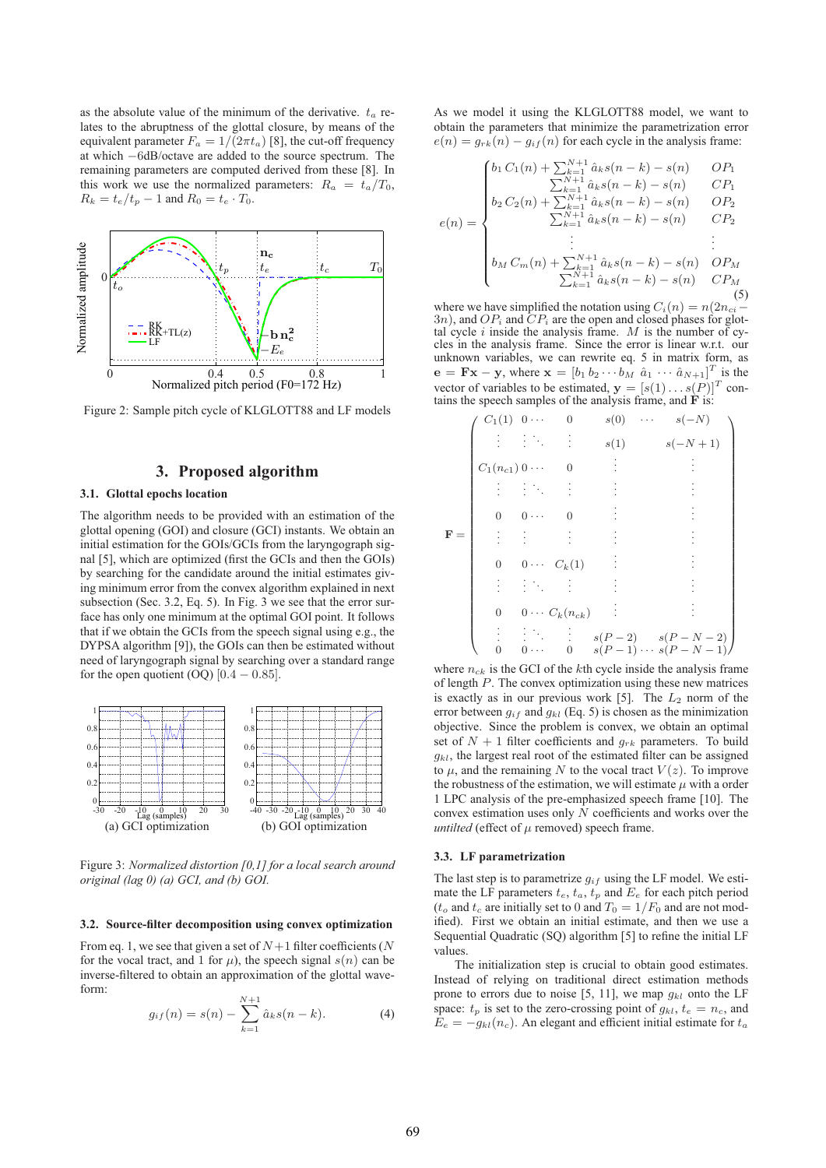as the absolute value of the minimum of the derivative.  $t_a$  relates to the abruptness of the glottal closure, by means of the equivalent parameter  $F_a = 1/(2\pi t_a)$  [8], the cut-off frequency at which −6dB/octave are added to the source spectrum. The remaining parameters are computed derived from these [8]. In this work we use the normalized parameters:  $R_a = t_a/T_0$ ,  $R_k = t_e/t_p - 1$  and  $R_0 = t_e \cdot T_0$ .



Figure 2: Sample pitch cycle of KLGLOTT88 and LF models

# **3. Proposed algorithm**

### **3.1. Glottal epochs location**

The algorithm needs to be provided with an estimation of the glottal opening (GOI) and closure (GCI) instants. We obtain an initial estimation for the GOIs/GCIs from the laryngograph signal [5], which are optimized (first the GCIs and then the GOIs) by searching for the candidate around the initial estimates giving minimum error from the convex algorithm explained in next subsection (Sec. 3.2, Eq. 5). In Fig. 3 we see that the error surface has only one minimum at the optimal GOI point. It follows that if we obtain the GCIs from the speech signal using e.g., the DYPSA algorithm [9]), the GOIs can then be estimated without need of laryngograph signal by searching over a standard range for the open quotient (OQ)  $[0.4 - 0.85]$ .



Figure 3: *Normalized distortion [0,1] for a local search around original (lag 0) (a) GCI, and (b) GOI.*

#### **3.2. Source-filter decomposition using convex optimization**

From eq. 1, we see that given a set of  $N+1$  filter coefficients (N for the vocal tract, and 1 for  $\mu$ ), the speech signal  $s(n)$  can be inverse-filtered to obtain an approximation of the glottal waveform:

$$
g_{if}(n) = s(n) - \sum_{k=1}^{N+1} \hat{a}_k s(n-k).
$$
 (4)

As we model it using the KLGLOTT88 model, we want to obtain the parameters that minimize the parametrization error  $e(n) = g_{rk}(n) - g_{if}(n)$  for each cycle in the analysis frame:

$$
\begin{cases}\nb_1 C_1(n) + \sum_{k=1}^{N+1} \hat{a}_k s(n-k) - s(n) & OP_1 \\
\sum_{k=1}^{N+1} \hat{a}_k s(n-k) - s(n) & CP_1\n\end{cases}
$$

$$
= \begin{bmatrix} \sum_{k=1}^{N+1} \hat{a}_k s(n-k) - s(n) & CP_1 \\ b_2 \, C_2(n) + \sum_{k=1}^{N+1} \hat{a}_k s(n-k) - s(n) & OP_2 \\ \sum_{k=1}^{N+1} \hat{a}_k s(n-k) - s(n) & CP_2 \end{bmatrix}
$$

$$
e(n) = \begin{cases} b_2 C_2(n) + \sum_{k=1}^{N+1} \hat{a}_k s(n-k) - s(n) & OP_2 \\ \sum_{k=1}^{N+1} \hat{a}_k s(n-k) - s(n) & CP_2 \end{cases}
$$

$$
\begin{vmatrix}\n\vdots & \vdots \\
b_M C_m(n) + \sum_{k=1}^{N+1} \hat{a}_k s(n-k) - s(n) & OP_M \\
\sum_{k=1}^{N+1} \hat{a}_k s(n-k) - s(n) & CP_M\n\end{vmatrix}
$$
\n(5)

where we have simplified the notation using  $C_i(n) = n(2n_{ci})$  $3n$ ), and  $OP_i$  and  $CP_i$  are the open and closed phases for glottal cycle i inside the analysis frame. M is the number of cycles in the analysis frame. Since the error is linear w.r.t. our unknown variables, we can rewrite eq. 5 in matrix form, as  $\mathbf{e} = \mathbf{F} \mathbf{x} - \mathbf{y}$ , where  $\mathbf{x} = \begin{bmatrix} b_1 & b_2 & \cdots & b_M & \hat{a}_1 & \cdots & \hat{a}_{N+1} \end{bmatrix}^T$  is the vector of variables to be estimated,  $\mathbf{y} = [s(1) \dots s(P)]^T$  contains the speech samples of the analysis frame, and  $\dot{F}$  is:

$$
\mathbf{F} = \begin{pmatrix}\nC_1(1) & 0 & \cdots & 0 & s(0) & \cdots & s(-N) \\
\vdots & \vdots & \ddots & \vdots & s(1) & s(-N+1) \\
C_1(n_{c1}) & 0 & 0 & \vdots & \vdots \\
\vdots & \vdots & \ddots & \vdots & \vdots & \vdots \\
0 & 0 & \cdots & 0 & \vdots & \vdots \\
\vdots & \vdots & \vdots & \vdots & \vdots & \vdots \\
0 & 0 & \cdots & C_k(1) & \vdots & \vdots \\
\vdots & \vdots & \ddots & \vdots & \vdots & \vdots \\
0 & 0 & \cdots & C_k(n_{ck}) & \vdots & \vdots \\
\vdots & \vdots & \ddots & \vdots & s(P-2) & s(P-N-2) \\
\vdots & \vdots & \ddots & \vdots & s(P-1) & \cdots s(P-N-1)\n\end{pmatrix}
$$

where  $n_{ck}$  is the GCI of the kth cycle inside the analysis frame of length P. The convex optimization using these new matrices is exactly as in our previous work [5]. The  $L_2$  norm of the error between  $g_{if}$  and  $g_{kl}$  (Eq. 5) is chosen as the minimization objective. Since the problem is convex, we obtain an optimal set of  $N + 1$  filter coefficients and  $g_{rk}$  parameters. To build  $q_{kl}$ , the largest real root of the estimated filter can be assigned to  $\mu$ , and the remaining N to the vocal tract  $V(z)$ . To improve the robustness of the estimation, we will estimate  $\mu$  with a order 1 LPC analysis of the pre-emphasized speech frame [10]. The convex estimation uses only N coefficients and works over the *untilted* (effect of  $\mu$  removed) speech frame.

#### **3.3. LF parametrization**

The last step is to parametrize  $g_{if}$  using the LF model. We estimate the LF parameters  $t_e$ ,  $t_a$ ,  $t_p$  and  $E_e$  for each pitch period  $(t_o$  and  $t_c$  are initially set to 0 and  $T_0 = 1/F_0$  and are not modified). First we obtain an initial estimate, and then we use a Sequential Quadratic (SQ) algorithm [5] to refine the initial LF values.

The initialization step is crucial to obtain good estimates. Instead of relying on traditional direct estimation methods prone to errors due to noise [5, 11], we map  $g_{kl}$  onto the LF space:  $t_p$  is set to the zero-crossing point of  $g_{kl}$ ,  $t_e = n_c$ , and  $E_e = -g_{kl}(n_c)$ . An elegant and efficient initial estimate for  $t_a$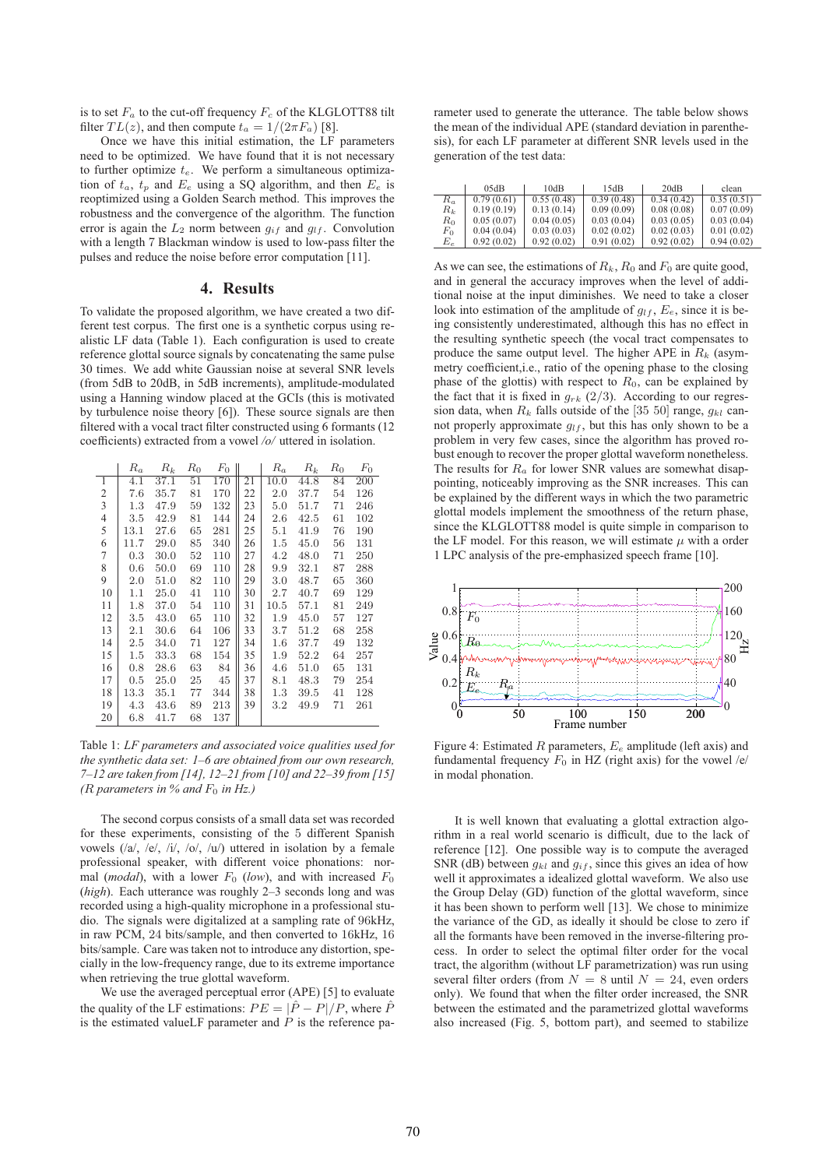is to set  $F_a$  to the cut-off frequency  $F_c$  of the KLGLOTT88 tilt filter  $TL(z)$ , and then compute  $t_a = 1/(2\pi F_a)$  [8].

Once we have this initial estimation, the LF parameters need to be optimized. We have found that it is not necessary to further optimize  $t_e$ . We perform a simultaneous optimization of  $t_a$ ,  $t_p$  and  $E_e$  using a SQ algorithm, and then  $E_e$  is reoptimized using a Golden Search method. This improves the robustness and the convergence of the algorithm. The function error is again the  $L_2$  norm between  $g_{if}$  and  $g_{lf}$ . Convolution with a length 7 Blackman window is used to low-pass filter the pulses and reduce the noise before error computation [11].

# **4. Results**

To validate the proposed algorithm, we have created a two different test corpus. The first one is a synthetic corpus using realistic LF data (Table 1). Each configuration is used to create reference glottal source signals by concatenating the same pulse 30 times. We add white Gaussian noise at several SNR levels (from 5dB to 20dB, in 5dB increments), amplitude-modulated using a Hanning window placed at the GCIs (this is motivated by turbulence noise theory [6]). These source signals are then filtered with a vocal tract filter constructed using 6 formants (12 coefficients) extracted from a vowel */o/* uttered in isolation.

|                | $R_a$   | $R_k$ | $R_0$ | $F_0$ |    | $R_a$   | $R_k$ | $R_0$ | $F_0$ |
|----------------|---------|-------|-------|-------|----|---------|-------|-------|-------|
| $\overline{1}$ | 4.1     | 37.1  | 51    | 170   | 21 | 10.0    | 44.8  | 84    | 200   |
| 2              | 7.6     | 35.7  | 81    | 170   | 22 | 2.0     | 37.7  | 54    | 126   |
| 3              | 1.3     | 47.9  | 59    | 132   | 23 | 5.0     | 51.7  | 71    | 246   |
| 4              | 3.5     | 42.9  | 81    | 144   | 24 | 2.6     | 42.5  | 61    | 102   |
| 5              | 13.1    | 27.6  | 65    | 281   | 25 | 5.1     | 41.9  | 76    | 190   |
| 6              | 11.7    | 29.0  | 85    | 340   | 26 | $1.5\,$ | 45.0  | 56    | 131   |
| 7              | 0.3     | 30.0  | 52    | 110   | 27 | 4.2     | 48.0  | 71    | 250   |
| 8              | 0.6     | 50.0  | 69    | 110   | 28 | 9.9     | 32.1  | 87    | 288   |
| 9              | 2.0     | 51.0  | 82    | 110   | 29 | 3.0     | 48.7  | 65    | 360   |
| 10             | 1.1     | 25.0  | 41    | 110   | 30 | 2.7     | 40.7  | 69    | 129   |
| 11             | 1.8     | 37.0  | 54    | 110   | 31 | 10.5    | 57.1  | 81    | 249   |
| 12             | 3.5     | 43.0  | 65    | 110   | 32 | 1.9     | 45.0  | 57    | 127   |
| 13             | 2.1     | 30.6  | 64    | 106   | 33 | 3.7     | 51.2  | 68    | 258   |
| 14             | 2.5     | 34.0  | 71    | 127   | 34 | $1.6\,$ | 37.7  | 49    | 132   |
| 15             | $1.5\,$ | 33.3  | 68    | 154   | 35 | 1.9     | 52.2  | 64    | 257   |
| 16             | 0.8     | 28.6  | 63    | 84    | 36 | 4.6     | 51.0  | 65    | 131   |
| 17             | 0.5     | 25.0  | 25    | 45    | 37 | 8.1     | 48.3  | 79    | 254   |
| 18             | 13.3    | 35.1  | 77    | 344   | 38 | 1.3     | 39.5  | 41    | 128   |
| 19             | 4.3     | 43.6  | 89    | 213   | 39 | 3.2     | 49.9  | 71    | 261   |
| 20             | 6.8     | 41.7  | 68    | 137   |    |         |       |       |       |

Table 1: *LF parameters and associated voice qualities used for the synthetic data set: 1–6 are obtained from our own research, 7–12 are taken from [14], 12–21 from [10] and 22–39 from [15] (R parameters in % and*  $F_0$  *in Hz.)* 

The second corpus consists of a small data set was recorded for these experiments, consisting of the 5 different Spanish vowels (/a/, /e/, /i/, /o/, /u/) uttered in isolation by a female professional speaker, with different voice phonations: normal (*modal*), with a lower  $F_0$  (*low*), and with increased  $F_0$ (*high*). Each utterance was roughly 2–3 seconds long and was recorded using a high-quality microphone in a professional studio. The signals were digitalized at a sampling rate of 96kHz, in raw PCM, 24 bits/sample, and then converted to 16kHz, 16 bits/sample. Care was taken not to introduce any distortion, specially in the low-frequency range, due to its extreme importance when retrieving the true glottal waveform.

We use the averaged perceptual error (APE) [5] to evaluate the quality of the LF estimations:  $PE = |\hat{P} - P|/P$ , where  $\hat{P}$ is the estimated valueLF parameter and  $P$  is the reference pa-

rameter used to generate the utterance. The table below shows the mean of the individual APE (standard deviation in parenthesis), for each LF parameter at different SNR levels used in the generation of the test data:

|       | 05dB       | 10dB       | 15dB       | 20dB       | clean      |
|-------|------------|------------|------------|------------|------------|
| $R_a$ | 0.79(0.61) | 0.55(0.48) | 0.39(0.48) | 0.34(0.42) | 0.35(0.51) |
| $R_k$ | 0.19(0.19) | 0.13(0.14) | 0.09(0.09) | 0.08(0.08) | 0.07(0.09) |
| $R_0$ | 0.05(0.07) | 0.04(0.05) | 0.03(0.04) | 0.03(0.05) | 0.03(0.04) |
| $F_0$ | 0.04(0.04) | 0.03(0.03) | 0.02(0.02) | 0.02(0.03) | 0.01(0.02) |
| $E_e$ | 0.92(0.02) | 0.92(0.02) | 0.91(0.02) | 0.92(0.02) | 0.94(0.02) |

As we can see, the estimations of  $R_k$ ,  $R_0$  and  $F_0$  are quite good, and in general the accuracy improves when the level of additional noise at the input diminishes. We need to take a closer look into estimation of the amplitude of  $g_{lf}$ ,  $E_e$ , since it is being consistently underestimated, although this has no effect in the resulting synthetic speech (the vocal tract compensates to produce the same output level. The higher APE in  $R_k$  (asymmetry coefficient,i.e., ratio of the opening phase to the closing phase of the glottis) with respect to  $R_0$ , can be explained by the fact that it is fixed in  $q_{rk}$  (2/3). According to our regression data, when  $R_k$  falls outside of the [35 50] range,  $g_{kl}$  cannot properly approximate  $g_{lf}$ , but this has only shown to be a problem in very few cases, since the algorithm has proved robust enough to recover the proper glottal waveform nonetheless. The results for  $R_a$  for lower SNR values are somewhat disappointing, noticeably improving as the SNR increases. This can be explained by the different ways in which the two parametric glottal models implement the smoothness of the return phase, since the KLGLOTT88 model is quite simple in comparison to the LF model. For this reason, we will estimate  $\mu$  with a order 1 LPC analysis of the pre-emphasized speech frame [10].



Figure 4: Estimated R parameters,  $E_e$  amplitude (left axis) and fundamental frequency  $F_0$  in HZ (right axis) for the vowel /e/ in modal phonation.

It is well known that evaluating a glottal extraction algorithm in a real world scenario is difficult, due to the lack of reference [12]. One possible way is to compute the averaged SNR (dB) between  $g_{kl}$  and  $g_{if}$ , since this gives an idea of how well it approximates a idealized glottal waveform. We also use the Group Delay (GD) function of the glottal waveform, since it has been shown to perform well [13]. We chose to minimize the variance of the GD, as ideally it should be close to zero if all the formants have been removed in the inverse-filtering process. In order to select the optimal filter order for the vocal tract, the algorithm (without LF parametrization) was run using several filter orders (from  $N = 8$  until  $N = 24$ , even orders only). We found that when the filter order increased, the SNR between the estimated and the parametrized glottal waveforms also increased (Fig. 5, bottom part), and seemed to stabilize